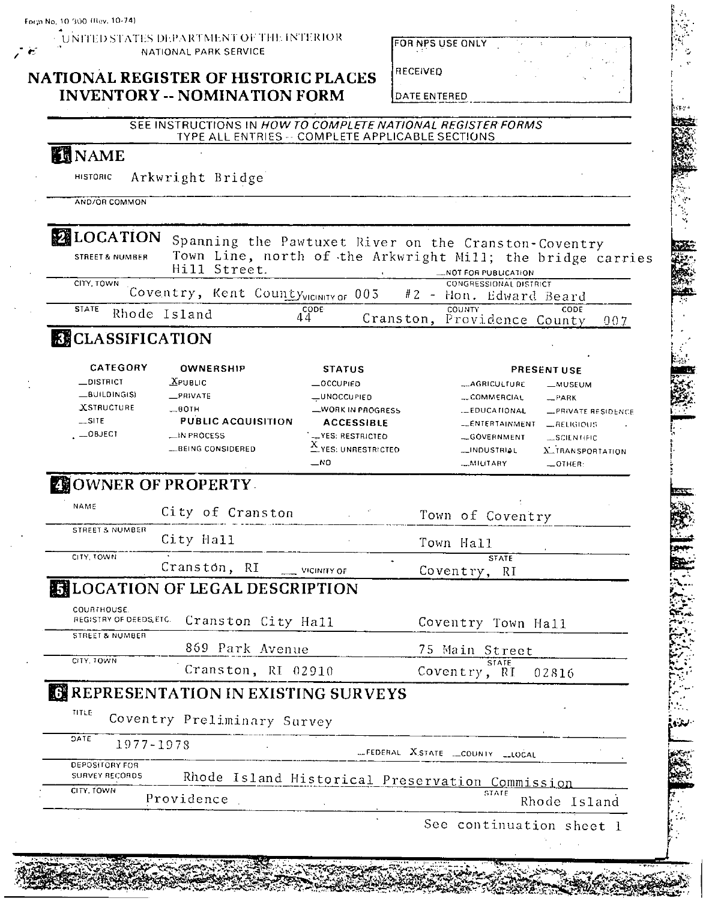Form No. 10 300 (Rev. 10-74)

UNITED STATES DEPARTMENT OF THE INTERIOR NATIONAL PARK SERVICE

#### NATIONAL REGISTER OF HISTORIC PLACES **INVENTORY -- NOMINATION FORM**

| RECEIVED |  |
|----------|--|
|          |  |
|          |  |
|          |  |
|          |  |

FOR NPS USE ONLY

DATE ENTERED

| <b>EN</b> NAME                                                                        |                                                                                                        |                                                                                                                    |                                                                                      |                                                                                                    |
|---------------------------------------------------------------------------------------|--------------------------------------------------------------------------------------------------------|--------------------------------------------------------------------------------------------------------------------|--------------------------------------------------------------------------------------|----------------------------------------------------------------------------------------------------|
| <b>HISTORIC</b>                                                                       | Arkwright Bridge                                                                                       |                                                                                                                    |                                                                                      |                                                                                                    |
| AND/OR COMMON                                                                         |                                                                                                        |                                                                                                                    |                                                                                      |                                                                                                    |
| LOCATION                                                                              |                                                                                                        |                                                                                                                    |                                                                                      |                                                                                                    |
| <b>STREET &amp; NUMBER</b>                                                            | Hill Street.                                                                                           | Spanning the Pawtuxet River on the Cranston-Coventry<br>Town Line, north of the Arkwright Mill; the bridge carries | <b>LINOT FOR PUBLICATION</b>                                                         |                                                                                                    |
| CITY, TOWN                                                                            | Coventry, Kent Countywounty of 003 #2 - Hon. Edward Beard                                              |                                                                                                                    | <b>CONGRESSIONAL DISTRICT</b>                                                        |                                                                                                    |
| <b>STATE</b>                                                                          | Rhode Island                                                                                           | CODE<br>44                                                                                                         | <b>COUNTY</b><br>Cranston, Providence County                                         | CODE<br>007                                                                                        |
| <b>ECLASSIFICATION</b>                                                                |                                                                                                        |                                                                                                                    |                                                                                      |                                                                                                    |
| CATEGORY<br>_DISTRICT<br>BULDING(S)<br><b>XSTRUCTURE</b><br>$\equiv$ SITE<br>__OBJECT | <b>OWNERSHIP</b><br><b>XPUBLIC</b><br>PRIVATE<br>$-80$ TH<br><b>PUBLIC ACQUISITION</b><br>__IN PROCESS | <b>STATUS</b><br>_OCCUPIED<br><b>_UNOCCUPIED</b><br>WORK IN PROGRESS<br><b>ACCESSIBLE</b><br>-YES: RESTRICTED      | __AGRICULTURE<br>COMMERCIAL<br>LEDUCATIONAL<br><b>LENTERTAINMENT</b><br>__GOVERNMENT | <b>PRESENT USE</b><br><b>MUSEUM</b><br>$-$ PARK<br>- PRIVATE RESIDENCE<br>LREUGIOUS<br>_SCILN HFIC |
|                                                                                       | <b>LBEING CONSIDERED</b>                                                                               | $\underline{\textbf{X}}$ , YES: UNRESTRICTED<br>$\overline{\phantom{1}}$ NO                                        | __INDUSTRIAL<br>__MILITARY                                                           | <b>X_TRANSPORTATION</b><br>$=$ OTHER:                                                              |
| <b>NAME</b>                                                                           | <b>DOWNER OF PROPERTY</b>                                                                              |                                                                                                                    |                                                                                      |                                                                                                    |
| STREET & NUMBER                                                                       | City of Cranston                                                                                       |                                                                                                                    | Town of Coventry                                                                     |                                                                                                    |
| CITY, TOWN                                                                            | City Hall                                                                                              |                                                                                                                    | Town Hall                                                                            |                                                                                                    |
|                                                                                       | Cranston, RI                                                                                           | $\frac{1}{2}$ VICINITY OF                                                                                          | <b>STATE</b><br>Coventry, RI                                                         |                                                                                                    |
|                                                                                       | ELOCATION OF LEGAL DESCRIPTION                                                                         |                                                                                                                    |                                                                                      |                                                                                                    |
| COURTHOUSE.<br>REGISTRY OF DEEDS, ETC.                                                | Cranston City Hall                                                                                     |                                                                                                                    | Coventry Town Hall                                                                   |                                                                                                    |
| STREET & NUMBER                                                                       | 869 Park Avenue                                                                                        |                                                                                                                    | 75 Main Street                                                                       |                                                                                                    |
| CITY, TOWN                                                                            | Cranston, RI 02910                                                                                     |                                                                                                                    | <b>STATE</b><br>Coventry, RI                                                         | 02816                                                                                              |
|                                                                                       | <b>GERESENTATION IN EXISTING SURVEYS</b>                                                               |                                                                                                                    |                                                                                      |                                                                                                    |
| TITLE                                                                                 | Coventry Preliminary Survey                                                                            |                                                                                                                    |                                                                                      |                                                                                                    |
| <b>DATE</b>                                                                           | 1977-1978                                                                                              |                                                                                                                    |                                                                                      |                                                                                                    |
| DEPOSITORY FOR<br><b>SURVEY RECORDS</b>                                               |                                                                                                        | Rhode Island Historical Preservation Commission                                                                    | -FEDERAL XSTATE -COUNTY -LOCAL                                                       |                                                                                                    |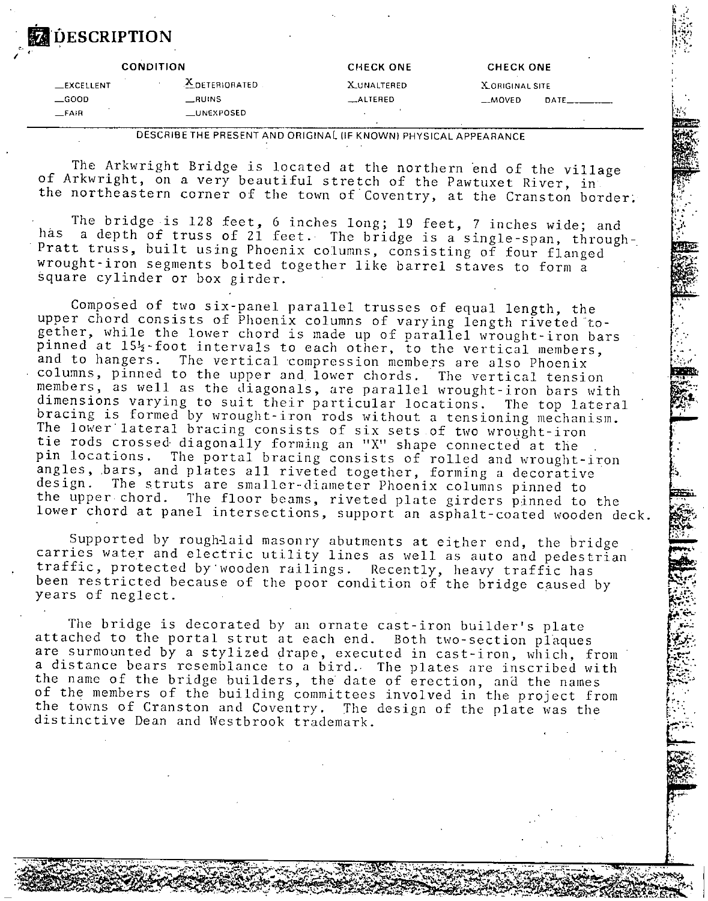## **DESCRIPTION**

|               | <b>CONDITION</b> | <b>CHECK ONE</b>      | <b>CHECK ONE</b> |
|---------------|------------------|-----------------------|------------------|
| _EXCELLENT    | A DETERIORATED   | <b>XUNALTERED</b>     | X ORIGINAL SITE  |
| $\equiv$ GOOD | $\Box$ RUINS     | $\rightarrow$ ALTERED | __MOVED<br>DATE  |
| $F$ AiR       | LUNEXPOSED       |                       |                  |
|               |                  |                       |                  |

#### **DESCRIBE THE PRESENT AND ORIGINAL IF KNOWN PHYSICAL APPEARANCE**

The Arkwright Bridge is located at the northern 'end of the village of Arkwright, on a very beautiful stretch of the Pawtuxet River, in the northeastern corner of the town of Coventry, at the Cranston border;

The bridge is <sup>128</sup> feet, <sup>6</sup> inches long; <sup>19</sup> feet, <sup>7</sup> inches wide; and has <sup>a</sup> depth of truss of <sup>21</sup> feet. The bridge is <sup>a</sup> single-span, through-Pratt truss, built using Phoenix columns, consisting of four flanged wrought-iron segments bolted together like barrel staves to form a square cylinder or box girder.

Composed of two six-panel parallel trusses of equal length, the upper chord consists of Phoenix columns of varying length riveted together, while the lower chord is made up of parallel wrought-iron bars<br>pinned at 15<sup>1</sup>/<sub>2</sub>-foot intervals to each other, to the vertical members,<br>and to hangers. The vertical compression members are also Phoenix columns, pinned to the upper and, lower chords. The vertical tension members, as well as the diagonals, are parallel wrought-iron bars with dimensions varying to suit their particular locations. The top lateral ' bracing is formed by wrought-iron rods without a tensioning mechanism.<br>The lower lateral bracing consists of six sets of two wrought-iron tie rods crossed' diagonally forming an "X" shape connected at the pin locations. The portal bracing consists of rolled and wrought-iron angles, bars, and plates all riveted together, forming a decorative design. The struts are smaller-diameter Phoenix columns pinned to the upper chord. The floor beams, riveted plate girders pinned to the lower chord at panel intersections, support an asphalt-coated wooden deck.

Supported by rough-laid masonry abutments at either end, the bridge carries water and electric utility lines as well as auto and pedestrian traffic, protected by wooden railings. Recently, heavy traffic has been restricted because of the poor condition of the bridge caused by years of neglect.

The bridge is decorated by an ornate cast-iron builder's plate attached to the portal strut at each end. Both two-section plaques are surmounted by a stylized drape, executed in cast-iron, which, from a distance bears resemblance to a bird. The plates are inscribed with the name of the bridge builders, the date of erection, and the names of the members of the building committees involved in the project from the towns of Cranston and Coventry. The design of the plate was the distinctive Dean and Westbrook trademark. .

-..-..-..'

' t..'i"7V'y

 $\sum_{i=1}^n\mathbf{c}_i$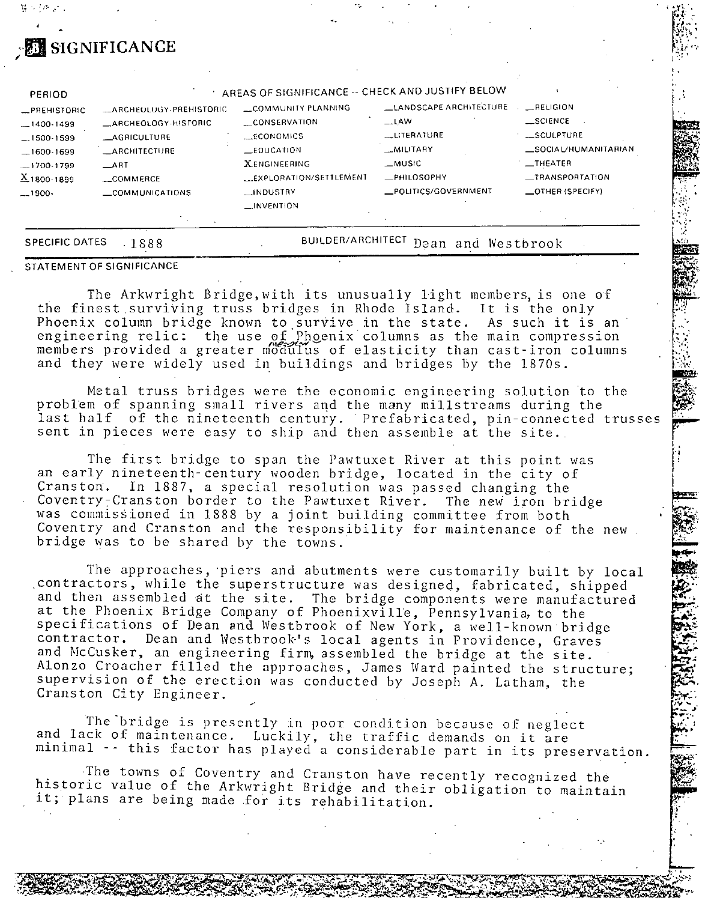# $|$  **SIGNIFICANCE**

| PERIOD              |                         | AREAS OF SIGNIFICANCE -- CHECK AND JUSTIFY BELOW |                        |                            |
|---------------------|-------------------------|--------------------------------------------------|------------------------|----------------------------|
| <b>_PREHISTORIC</b> | LARCHEOLOGY-PREHISTORIC | LLCOMMUNITY PLANNING                             | LANDSCAPE ARCHITECTURE | RELIGION                   |
| $-1400.1499$        | ARCHEOLOGY-HISTORIC     | CONSERVATION                                     | $-LAW$                 | __SCIENCE                  |
| $-1500-1599$        | <b>LAGRICULTURE</b>     | <b>LECONOMICS</b>                                | <b>LLITERATURE</b>     | __SCULPTURE                |
| $-1600-1699$        | <b>LARCHITECTURE</b>    | $\_EDUCA$ <sup>TION</sup>                        | _MILITARY              | <b>COCIAL/HUMANITARIAN</b> |
| $-1700.1799$        | $\_$ ART                | <b>XENGINEERING</b>                              | _MUSIC                 | $\sqrt{-1}$ THEATER        |
| $X_{1800.1899}$     | COMMERCE                | L.EXPLORATION/SETTLEMENT                         | <b>PHILOSOPHY</b>      | _TRANSPORTATION            |
| $-1900-$            | $\equiv$ COMMUNICATIONS | <b>LINDUSTRY</b>                                 | POLITICS/GOVERNMENT    | <b>COTHER (SPECIFY)</b>    |
|                     |                         | <b>INVENTION</b>                                 |                        |                            |
|                     |                         |                                                  |                        |                            |

| <b>SPECIFIC DATES</b> |  |  | 1888 |  |
|-----------------------|--|--|------|--|
|-----------------------|--|--|------|--|

BUILDER/ARCHITECT Dean and Westbrook

 $\mathcal{L}$ **.\*1**

#### STATEMENT OF SIGNIFICANCE

The Arkwright Bridge, with its unusually light members, is one of the finest surviving truss bridges in Rhode Island. It is the only Phoenix column bridge known to,survive in the state. As such it is an ' engineering relic: the use of Phoenix columns as the main compression members provided a greater modulus of elasticity than cast-iron columns and they were widely used in buildings and bridges by the l870s.

Metal truss bridges were the economic engineering solution 'to the problem of spanning small rivers and the many millstreams during the last half of the nineteenth century. Prefabricated, pin-connected trusses sent in pieces were easy to ship and then assemble at the site.

The first bridge to span the Pawtuxet River at this point was an early nineteenth- century wooden bridge, located in the city of Cranston. In 1887, a special resolution was passed changing the Coventry-Cranston border to the Pawtuxet River. The new iron bridge was commissioned in 1888 by a joint building committee from both Coventry and Cranston and the responsibility for maintenance of the new . bridge was to be shared by the towns.

The approaches, piers and abutments were customarily built by local contractors, while the superstructure was designed, fabricated, shipped and then assembled at the site. The bridge components were manufactured at the Phoenix Bridge Company of Phoenixville, Pennsylvania, to the specifications of Dean and Westbrook of New York, a well-known bridge contractor. Dean and Westbrook's local agents in Providence, Graves and McCusker, an engineering firm, assembled the bridge at the site. Alonzo Croacher filled the approaches, James Ward painted the structure; supervision of the erection was conducted by Joseph A. Latham, the Cranston City Engineer.

The bridge is presently in poor condition because of neglect and lack of maintenance. Luckily, the traffic demands on it are minimal -- this factor has played <sup>a</sup> considerable part in its preservation.

'The towns of Coventry and Cranston have recently recognized the historic value of the Arkwright Bridge and their obligation to maintain it; plans are being made for its rehabilitation.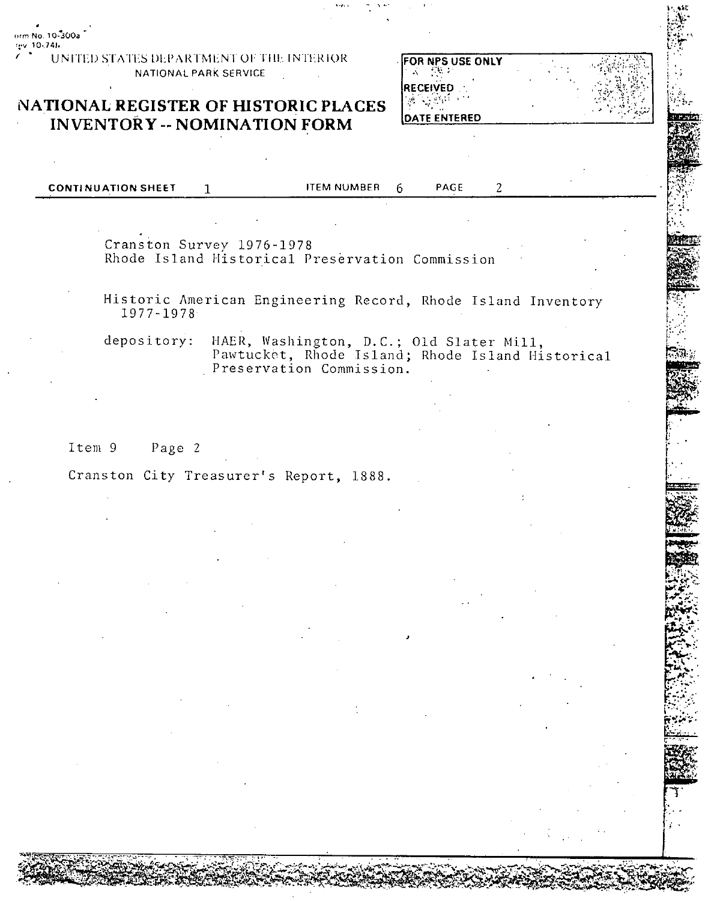UNITED STATES DEPARTMENT OF THE INTERIOR NATIONAL PARK SERVICE

#### **NATIONAL REGISTER OF HISTORIC PLACES INVENTORY -- NOMINATION FORM**

 $\mathbf{1}$ 

| IFOR NPS USE ONLY |  |  |  |
|-------------------|--|--|--|
| <b>RECEIVED</b>   |  |  |  |
|                   |  |  |  |
| <b>ENTERED</b>    |  |  |  |

 $\overline{c}$ 

**CONTINUATION SHEET** 

o. 10-300a  $0.741$ 

> **ITEM NUMBER** PAGE 6

Cranston Survey 1976-1978 Rhode Island Historical Preservation Commission

Historic American Engineering Record, Rhode Island Inventory  $1977 - 1978$ 

HAER, Washington, D.C.; Old Slater Mill,<br>Pawtucket, Rhode Island; Rhode Island Historical depository: Preservation Commission.

Item 9 Page  $2$ 

Cranston City Treasurer's Report, 1888.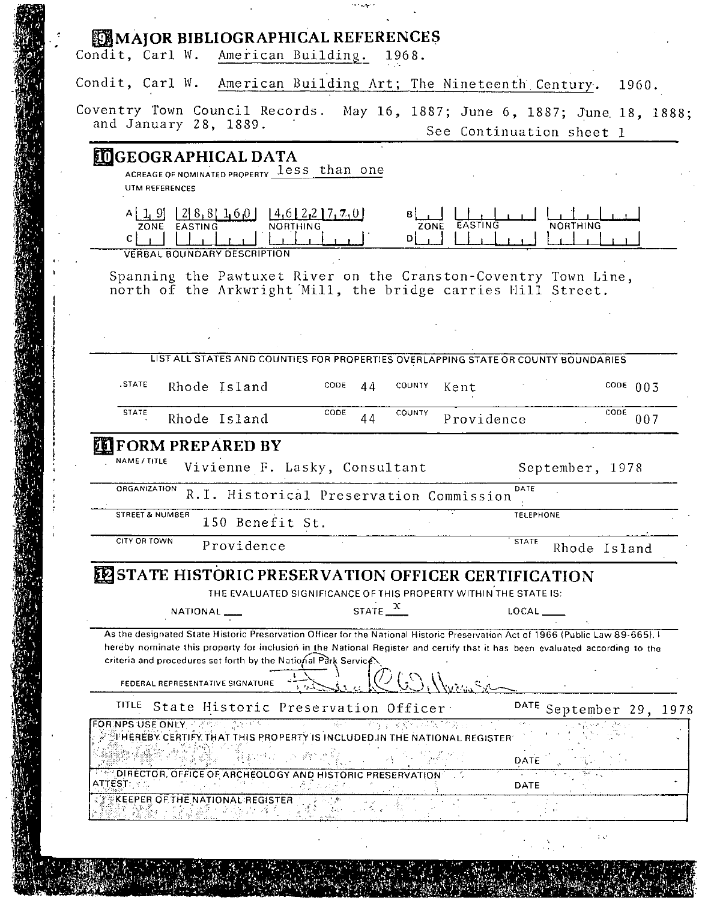| Condit, Carl W.                                                                                                                                                                                                                                                                                                                    | American Building.                                                                 |                           |           | 1968.          |                |                  |                          |            |     |
|------------------------------------------------------------------------------------------------------------------------------------------------------------------------------------------------------------------------------------------------------------------------------------------------------------------------------------|------------------------------------------------------------------------------------|---------------------------|-----------|----------------|----------------|------------------|--------------------------|------------|-----|
| Condit, Carl W. American Building Art; The Nineteenth Century. 1960.                                                                                                                                                                                                                                                               |                                                                                    |                           |           |                |                |                  |                          |            |     |
| Coventry Town Council Records. May 16, 1887; June 6, 1887; June 18, 1888;<br>and January 28, 1889.                                                                                                                                                                                                                                 |                                                                                    |                           |           |                |                |                  | See Continuation sheet 1 |            |     |
| <b>EDGEOGRAPHICAL DATA</b><br><b>UTM REFERENCES</b>                                                                                                                                                                                                                                                                                | ACREAGE OF NOMINATED PROPERTY less than one                                        |                           |           |                |                |                  |                          |            |     |
| ZONE EASTING<br>СI<br><b>VERBAL BOUNDARY DESCRIPTION</b>                                                                                                                                                                                                                                                                           | [2]8,8]160]<br><b>NORTHING</b>                                                     | $[4,6]$ $[2,2]$ $[7,7,0]$ |           | ZONE<br>DÌ     | <b>EASTING</b> |                  | <b>NORTHING</b>          |            |     |
| Spanning the Pawtuxet River on the Cranston-Coventry Town Line,<br>north of the Arkwright Mill, the bridge carries Hill Street.                                                                                                                                                                                                    |                                                                                    |                           |           |                |                |                  |                          |            |     |
|                                                                                                                                                                                                                                                                                                                                    |                                                                                    |                           |           |                |                |                  |                          |            |     |
|                                                                                                                                                                                                                                                                                                                                    | LIST ALL STATES AND COUNTIES FOR PROPERTIES OVERLAPPING STATE OR COUNTY BOUNDARIES |                           |           |                |                |                  |                          |            |     |
| .STATE                                                                                                                                                                                                                                                                                                                             | Rhode Island                                                                       | CODE                      | 44        | COUNTY         | Kent           |                  |                          | CODE $003$ |     |
| <b>STATE</b>                                                                                                                                                                                                                                                                                                                       | Rhode Island                                                                       | CODE                      | 44        | COUNTY         | Providence     |                  |                          | CODE       | 007 |
|                                                                                                                                                                                                                                                                                                                                    | Vivienne F. Lasky, Consultant                                                      |                           |           |                |                |                  |                          |            |     |
| ORGANIZATION                                                                                                                                                                                                                                                                                                                       |                                                                                    |                           |           |                |                | DATE             | September, 1978          |            |     |
| <b>STREET &amp; NUMBER</b>                                                                                                                                                                                                                                                                                                         | R.I. Historical Preservation Commission<br>150 Benefit St.                         |                           |           |                |                | <b>TELEPHONE</b> |                          |            |     |
| CITY OR TOWN                                                                                                                                                                                                                                                                                                                       | Providence                                                                         |                           |           |                |                | <b>STATE</b>     | Rhode Island             |            |     |
| <b>ESTATE HISTORIC PRESERVATION OFFICER CERTIFICATION</b>                                                                                                                                                                                                                                                                          |                                                                                    |                           |           |                |                |                  |                          |            |     |
|                                                                                                                                                                                                                                                                                                                                    | THE EVALUATED SIGNIFICANCE OF THIS PROPERTY WITHIN THE STATE IS:                   |                           |           |                |                |                  |                          |            |     |
| NATIONAL.                                                                                                                                                                                                                                                                                                                          |                                                                                    |                           | STATE $X$ |                |                | LOCAL_           |                          |            |     |
| As the designated State Historic Preservation Officer for the National Historic Preservation Act of 1966 (Public Law 89-665). I<br>hereby nominate this property for inclusion in the National Register and certify that it has been evaluated according to the<br>criteria and procedures set forth by the National Park Service. |                                                                                    |                           |           |                |                |                  |                          |            |     |
| FEDERAL REPRESENTATIVE SIGNATURE                                                                                                                                                                                                                                                                                                   |                                                                                    |                           |           |                |                |                  |                          |            |     |
| TITLE                                                                                                                                                                                                                                                                                                                              | State Historic Preservation Officer.                                               |                           |           |                |                |                  | DATE September 29, 1978  |            |     |
| FOR NPS USE ONLY REMAin the sets<br>IFHEREBY CERTIFY THAT THIS PROPERTY IS INCLUDED IN THE NATIONAL REGISTER                                                                                                                                                                                                                       |                                                                                    |                           |           | すなす そぞう はなくのあい |                |                  |                          |            |     |
| <b>PEDIRECTOR, OFFICE OF ARCHEOLOGY AND HISTORIC PRESERVATION</b><br>$\mathsf{ATTEST}$ , and                                                                                                                                                                                                                                       |                                                                                    |                           |           |                |                | DATE<br>DATE     |                          |            |     |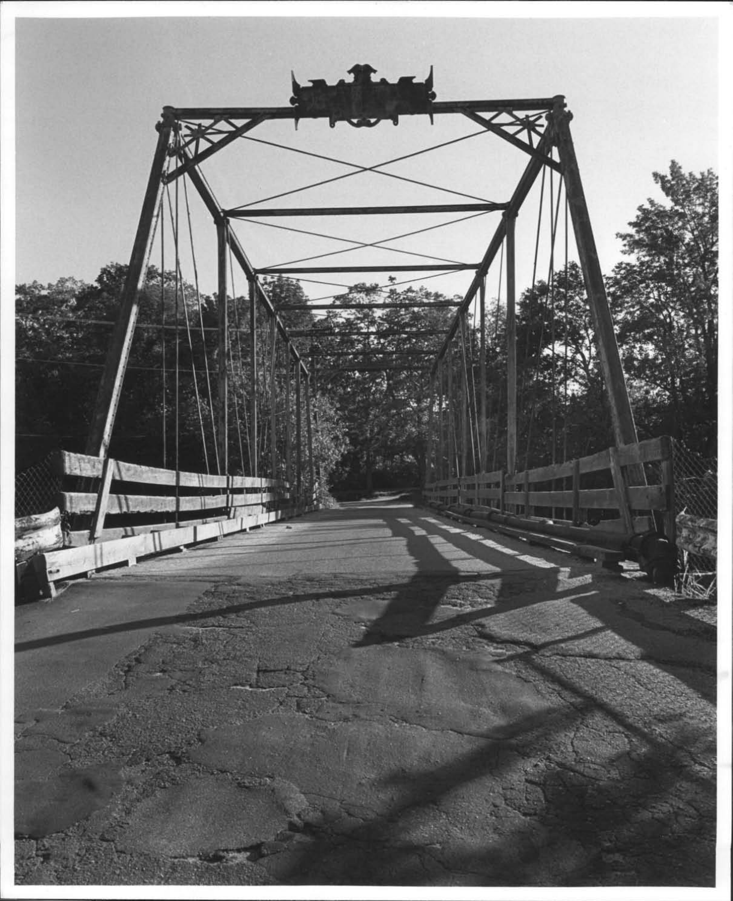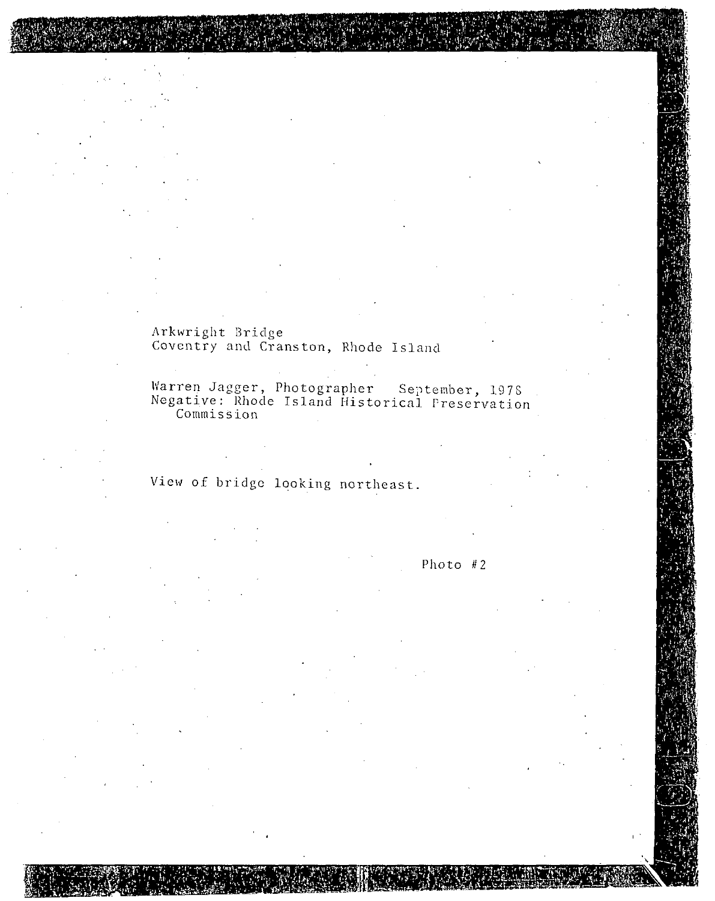#### - Arkwright Bridg<br>- Coventry and Ca Coventry and Cranston, Rhode Island

Warren Jagger, Photographer September, 1978<br>Negative: Rhode Island Historical Presententi Negative: Rhode Island Historical Preservation Commission

# View of bridge looking northeast.

#### Photo  $#2$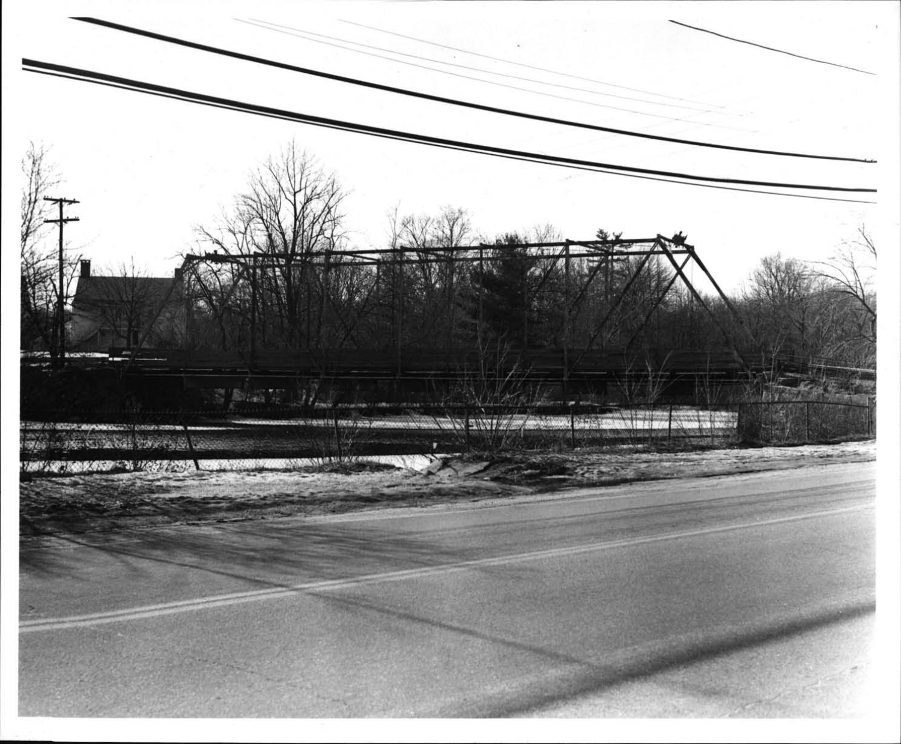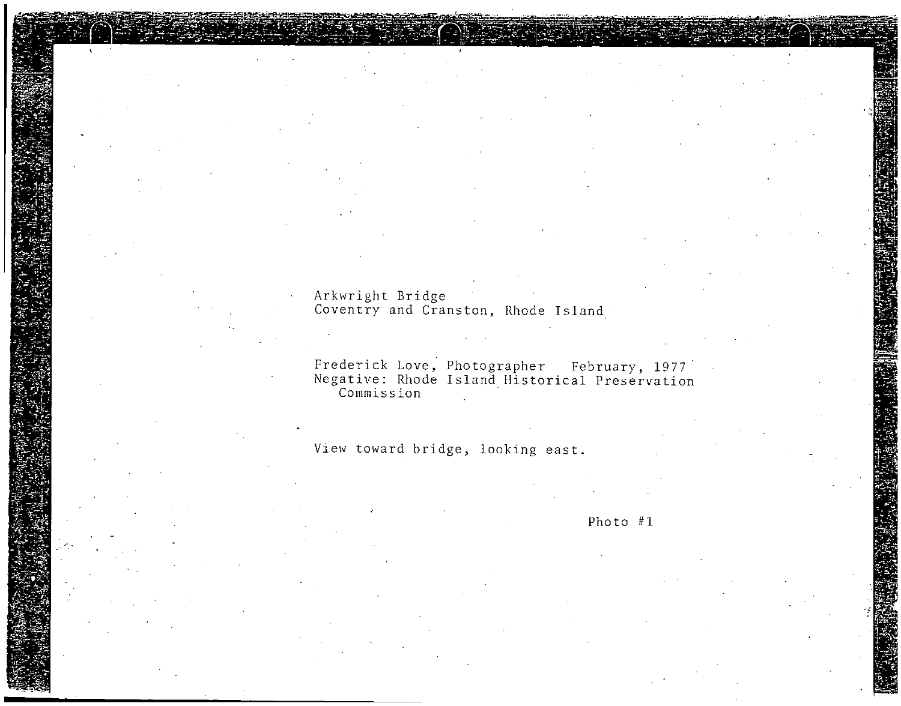Arkwright Bridge<br>Coventry and Cranston, Rhode Island

Frederick Love, Photographer February, 1977<br>Negative: Rhode Island Historical Preservation<br>Commission

### View toward bridge, looking east.

Photo  $#1$